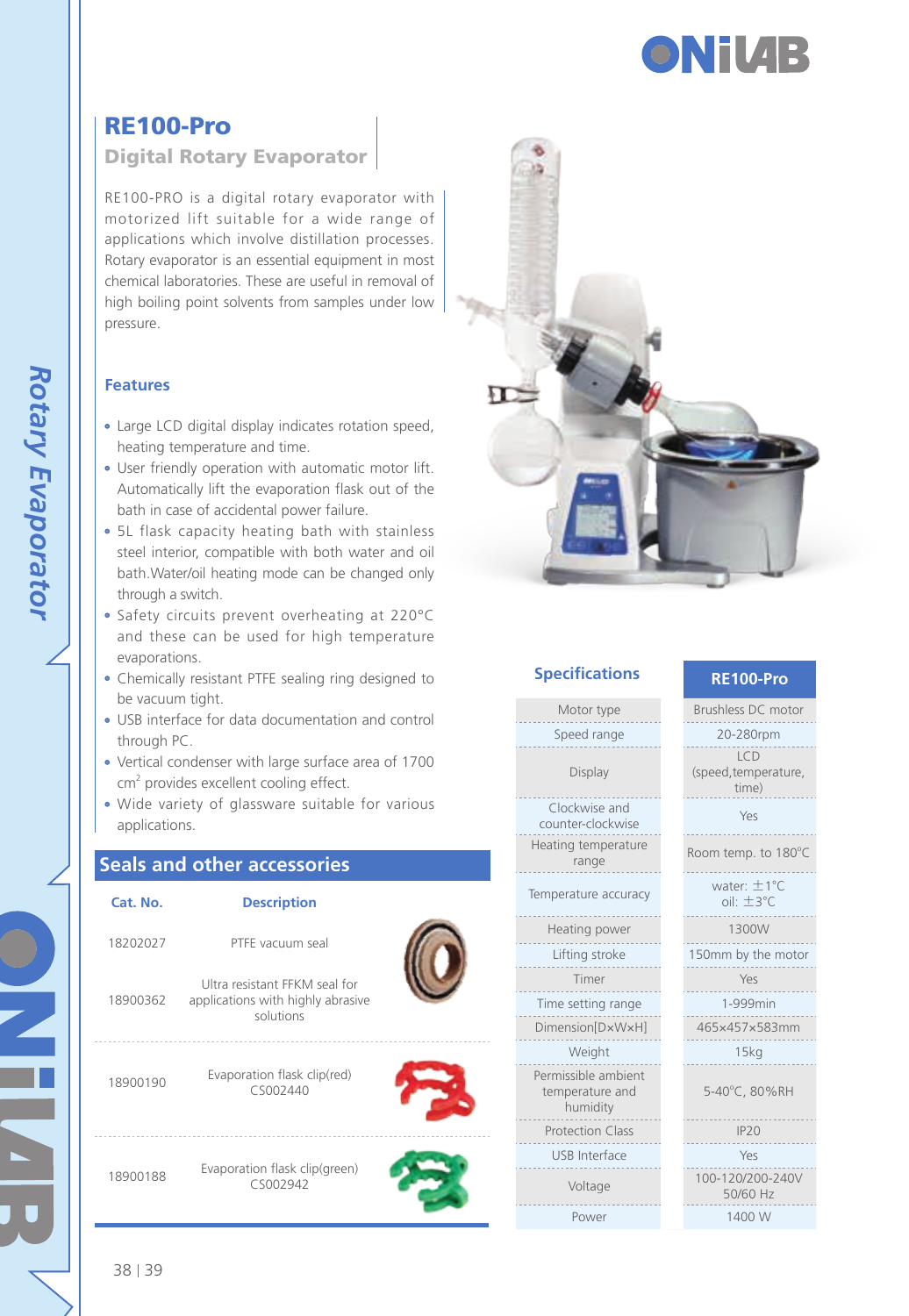

## RE100-Pro

### Digital Rotary Evaporator

RE100-PRO is a digital rotary evaporator with motorized lift suitable for a wide range of applications which involve distillation processes. Rotary evaporator is an essential equipment in most chemical laboratories. These are useful in removal of high boiling point solvents from samples under low pressure.

### **Features**

- Large LCD digital display indicates rotation speed, heating temperature and time.
- User friendly operation with automatic motor lift. Automatically lift the evaporation flask out of the bath in case of accidental power failure.
- 5L flask capacity heating bath with stainless steel interior, compatible with both water and oil bath.Water/oil heating mode can be changed only through a switch.
- Safety circuits prevent overheating at 220°C and these can be used for high temperature evaporations.
- Chemically resistant PTFE sealing ring designed to be vacuum tight.
- USB interface for data documentation and control through PC.
- Vertical condenser with large surface area of 1700 cm<sup>2</sup> provides excellent cooling effect.
- Wide variety of glassware suitable for various applications.

### **Seals and other accessories**

| Cat. No. | <b>Description</b>                                                              |  |
|----------|---------------------------------------------------------------------------------|--|
| 18202027 | PTFF vacuum seal                                                                |  |
| 18900362 | Ultra resistant FFKM seal for<br>applications with highly abrasive<br>solutions |  |
| 18900190 | Evaporation flask clip(red)<br>CS002440                                         |  |
| 18900188 | Evaporation flask clip(green)<br>CS002942                                       |  |



|  |  | <b>Specifications</b> |
|--|--|-----------------------|
|  |  |                       |
|  |  |                       |

#### **Specifications RE100-Pro**

Motor type Speed range

Display Clockwise and counter-clockwise

Heating temperature range

Temperature accuracy

Heating power

Lifting stroke Timer

Time setting range Dimension[D×W×H]

Weight Permissible ambient temperature and

humidity Protection Class

USB Interface

Voltage

Power

| Brushless DC motor                      |
|-----------------------------------------|
| 20-280rpm                               |
| ICD<br>(speed, temperature,<br>time)    |
| Yes                                     |
| Room temp. to 180°C                     |
| water: $\pm$ 1°C<br>$\sin + 3^{\circ}C$ |
| 1300W                                   |
| 150mm by the motor                      |
| Yes                                     |
| 1-999min                                |
| 465×457×583mm                           |
| 15kg                                    |
| 5-40°C.80%RH                            |
| IP20                                    |
| Yes                                     |
| 100-120/200-240V<br>50/60 Hz            |
| 1400 W                                  |
|                                         |

38 39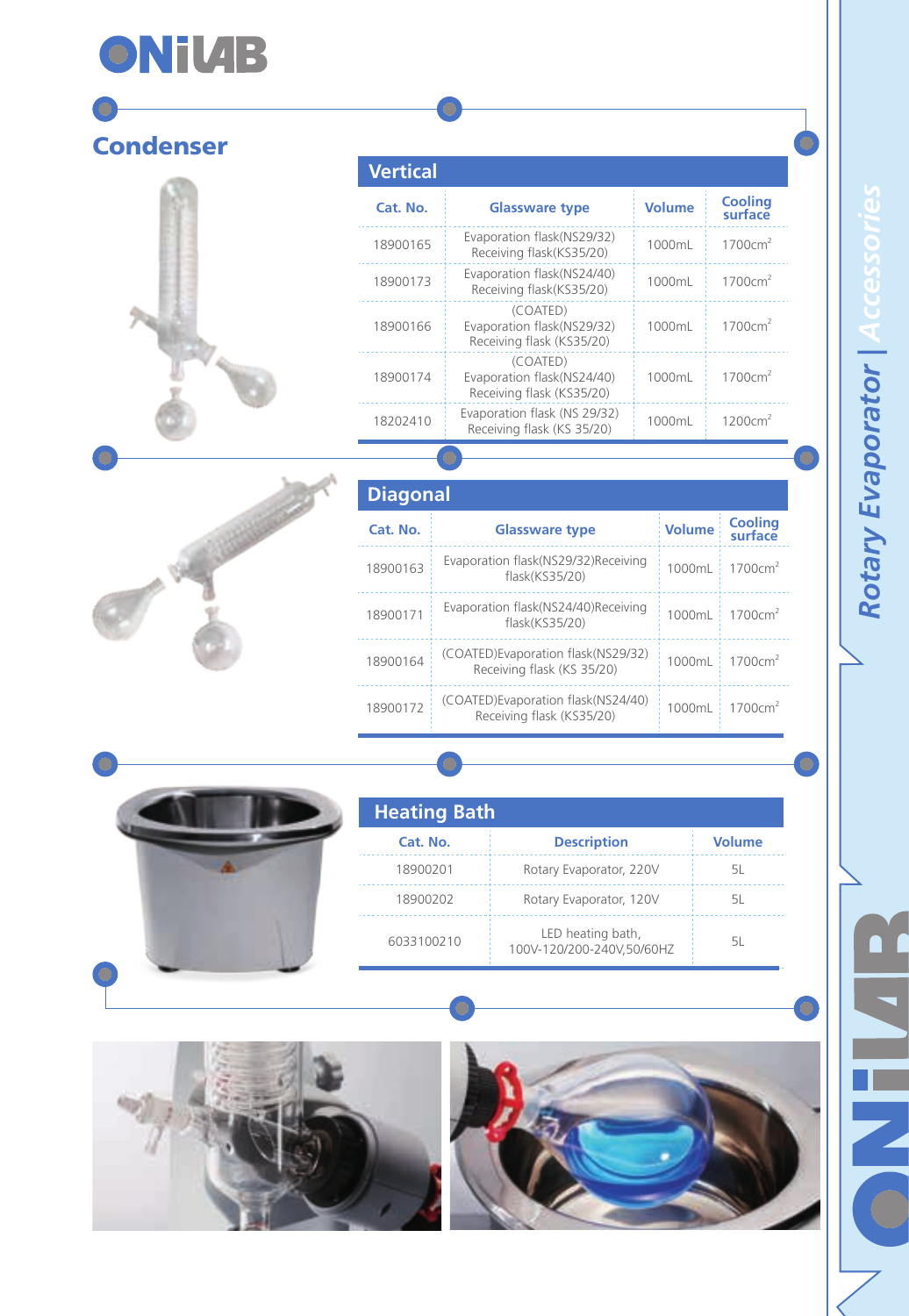# **ONiVIB**

# **Condenser**

# **Vertical**

| Cat. No. | <b>Glassware type</b>                                               | <b>Volume</b> | <b>Cooling</b><br>surface |
|----------|---------------------------------------------------------------------|---------------|---------------------------|
| 18900165 | Evaporation flask(NS29/32)<br>Receiving flask(KS35/20)              | 1000ml        | 1700cm <sup>2</sup>       |
| 18900173 | Evaporation flask(NS24/40)<br>Receiving flask(KS35/20)              | 1000ml        | 1700cm <sup>2</sup>       |
| 18900166 | (COATED)<br>Evaporation flask(NS29/32)<br>Receiving flask (KS35/20) | 1000ml        | 1700cm <sup>2</sup>       |
| 18900174 | (COATED)<br>Evaporation flask(NS24/40)<br>Receiving flask (KS35/20) | 1000ml        | 1700cm <sup>2</sup>       |
| 18202410 | Evaporation flask (NS 29/32)<br>Receiving flask (KS 35/20)          | 1000mL        | 1200cm <sup>2</sup>       |



| <b>Diagonal</b> |                                                                  |               |                           |
|-----------------|------------------------------------------------------------------|---------------|---------------------------|
| Cat. No.        | <b>Glassware type</b>                                            | <b>Volume</b> | <b>Cooling</b><br>surface |
| 18900163        | Evaporation flask(NS29/32)Receiving<br>flask(KS35/20)            | 1000ml        | 1700cm <sup>2</sup>       |
| 18900171        | Evaporation flask(NS24/40)Receiving<br>flask(KS35/20)            | 1000ml        | 1700cm <sup>2</sup>       |
| 18900164        | (COATED)Evaporation flask(NS29/32)<br>Receiving flask (KS 35/20) | 1000ml        | 1700cm <sup>2</sup>       |
| 18900172        | (COATED)Evaporation flask(NS24/40)<br>Receiving flask (KS35/20)  | 1000ml        | 1700cm <sup>2</sup>       |



| <b>Heating Bath</b> |                                                |        |  |
|---------------------|------------------------------------------------|--------|--|
| Cat. No.            | <b>Description</b>                             | Volume |  |
| 18900201            | Rotary Evaporator, 220V                        | 51.    |  |
| 18900202            | Rotary Evaporator, 120V                        | 51.    |  |
| 6033100210          | LED heating bath,<br>100V-120/200-240V.50/60HZ | 51     |  |